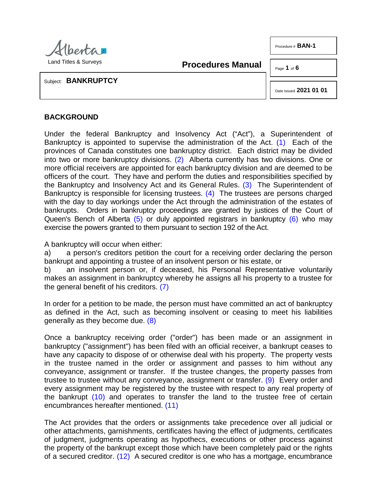

<span id="page-0-1"></span>**Procedures Manual**

Page **1** of **6** 

Procedure # **BAN-1**

Subject: **BANKRUPTCY**

<span id="page-0-5"></span><span id="page-0-3"></span><span id="page-0-2"></span><span id="page-0-0"></span>Date Issued **2021 01 01**

## **BACKGROUND**

Under the federal Bankruptcy and Insolvency Act ("Act"), a Superintendent of Bankruptcy is appointed to supervise the administration of the Act. [\(1\)](#page-5-0) Each of the provinces of Canada constitutes one bankruptcy district. Each district may be divided into two or more bankruptcy divisions. [\(2\)](#page-5-1) Alberta currently has two divisions. One or more official receivers are appointed for each bankruptcy division and are deemed to be officers of the court. They have and perform the duties and responsibilities specified by the Bankruptcy and Insolvency Act and its General Rules. [\(3\)](#page-5-2) The Superintendent of Bankruptcy is responsible for licensing trustees. [\(4\)](#page-5-3) The trustees are persons charged with the day to day workings under the Act through the administration of the estates of bankrupts. Orders in bankruptcy proceedings are granted by justices of the Court of Queen's Bench of Alberta [\(5\)](#page-5-4) or duly appointed registrars in bankruptcy [\(6\)](#page-5-5) who may exercise the powers granted to them pursuant to section 192 of the Act.

<span id="page-0-4"></span>A bankruptcy will occur when either:

a) a person's creditors petition the court for a receiving order declaring the person bankrupt and appointing a trustee of an insolvent person or his estate, or

<span id="page-0-6"></span>b) an insolvent person or, if deceased, his Personal Representative voluntarily makes an assignment in bankruptcy whereby he assigns all his property to a trustee for the general benefit of his creditors. [\(7\)](#page-5-6)

<span id="page-0-7"></span>In order for a petition to be made, the person must have committed an act of bankruptcy as defined in the Act, such as becoming insolvent or ceasing to meet his liabilities generally as they become due. [\(8\)](#page-5-7)

<span id="page-0-8"></span>Once a bankruptcy receiving order ("order") has been made or an assignment in bankruptcy ("assignment") has been filed with an official receiver, a bankrupt ceases to have any capacity to dispose of or otherwise deal with his property. The property vests in the trustee named in the order or assignment and passes to him without any conveyance, assignment or transfer. If the trustee changes, the property passes from trustee to trustee without any conveyance, assignment or transfer. [\(9\)](#page-5-8) Every order and every assignment may be registered by the trustee with respect to any real property of the bankrupt [\(10\)](#page-5-9) and operates to transfer the land to the trustee free of certain encumbrances hereafter mentioned. [\(11\)](#page-5-10)

<span id="page-0-11"></span><span id="page-0-10"></span><span id="page-0-9"></span>The Act provides that the orders or assignments take precedence over all judicial or other attachments, garnishments, certificates having the effect of judgments, certificates of judgment, judgments operating as hypothecs, executions or other process against the property of the bankrupt except those which have been completely paid or the rights of a secured creditor. [\(12\)](#page-5-11) A secured creditor is one who has a mortgage, encumbrance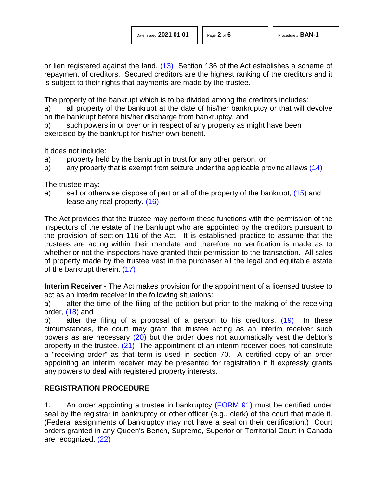<span id="page-1-0"></span>or lien registered against the land. [\(13\)](#page-5-12) Section 136 of the Act establishes a scheme of repayment of creditors. Secured creditors are the highest ranking of the creditors and it is subject to their rights that payments are made by the trustee.

The property of the bankrupt which is to be divided among the creditors includes:

a) all property of the bankrupt at the date of his/her bankruptcy or that will devolve on the bankrupt before his/her discharge from bankruptcy, and

b) such powers in or over or in respect of any property as might have been exercised by the bankrupt for his/her own benefit.

It does not include:

- a) property held by the bankrupt in trust for any other person, or
- <span id="page-1-1"></span>b) any property that is exempt from seizure under the applicable provincial laws [\(14\)](#page-5-13)

The trustee may:

<span id="page-1-3"></span><span id="page-1-2"></span>a) sell or otherwise dispose of part or all of the property of the bankrupt, [\(15\)](#page-5-14) and lease any real property. [\(16\)](#page-5-15)

The Act provides that the trustee may perform these functions with the permission of the inspectors of the estate of the bankrupt who are appointed by the creditors pursuant to the provision of section 116 of the Act. It is established practice to assume that the trustees are acting within their mandate and therefore no verification is made as to whether or not the inspectors have granted their permission to the transaction. All sales of property made by the trustee vest in the purchaser all the legal and equitable estate of the bankrupt therein. [\(17\)](#page-5-16)

<span id="page-1-4"></span>**Interim Receiver** - The Act makes provision for the appointment of a licensed trustee to act as an interim receiver in the following situations:

<span id="page-1-5"></span>a) after the time of the filing of the petition but prior to the making of the receiving order, [\(18\)](#page-5-17) and

<span id="page-1-8"></span><span id="page-1-7"></span><span id="page-1-6"></span>b) after the filing of a proposal of a person to his creditors. [\(19\)](#page-5-18) In these circumstances, the court may grant the trustee acting as an interim receiver such powers as are necessary [\(20\)](#page-5-19) but the order does not automatically vest the debtor's property in the trustee. [\(21\)](#page-5-20) The appointment of an interim receiver does not constitute a "receiving order" as that term is used in section 70. A certified copy of an order appointing an interim receiver may be presented for registration if It expressly grants any powers to deal with registered property interests.

## **REGISTRATION PROCEDURE**

<span id="page-1-9"></span>1. An order appointing a trustee in bankruptcy [\(FORM 91\)](http://www.servicealberta.ca/pdf/ltmanual/BAN-1-FORM91.pdf) must be certified under seal by the registrar in bankruptcy or other officer (e.g., clerk) of the court that made it. (Federal assignments of bankruptcy may not have a seal on their certification.) Court orders granted in any Queen's Bench, Supreme, Superior or Territorial Court in Canada are recognized. [\(22\)](#page-5-21)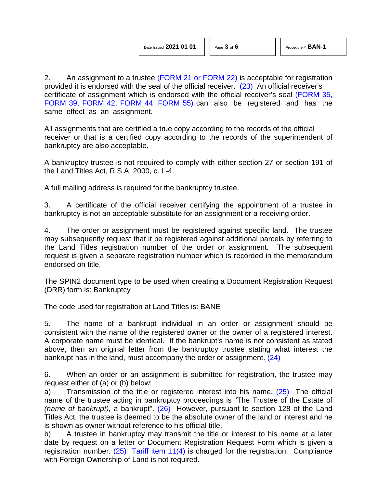<span id="page-2-0"></span>2. An assignment to a trustee [\(FORM 21](http://www.servicealberta.ca/pdf/ltmanual/BAN-1-FORM21.pdf) [or FORM 22\)](http://www.servicealberta.ca/pdf/ltmanual/BAN-1-FORM22.pdf) is acceptable for registration provided it is endorsed with the seal of the official receiver. [\(23\)](#page-5-22) An official receiver's certificate of assignment which is endorsed with the official receiver's seal [\(FORM 35,](http://www.servicealberta.ca/pdf/ltmanual/BAN-1-FORM35.pdf) [FORM 39,](http://www.servicealberta.ca/pdf/ltmanual/BAN-1-FORM39.pdf) [FORM 42,](http://www.servicealberta.ca/pdf/ltmanual/BAN-1-FORM42.pdf) [FORM 44,](http://www.servicealberta.ca/pdf/ltmanual/BAN-1-FORM44.pdf) [FORM 55\)](http://www.servicealberta.ca/pdf/ltmanual/BAN-1-FORM55.pdf) can also be registered and has the same effect as an assignment.

All assignments that are certified a true copy according to the records of the official receiver or that is a certified copy according to the records of the superintendent of bankruptcy are also acceptable.

A bankruptcy trustee is not required to comply with either section 27 or section 191 of the Land Titles Act, R.S.A. 2000, c. L-4.

A full mailing address is required for the bankruptcy trustee.

3. A certificate of the official receiver certifying the appointment of a trustee in bankruptcy is not an acceptable substitute for an assignment or a receiving order.

4. The order or assignment must be registered against specific land. The trustee may subsequently request that it be registered against additional parcels by referring to the Land Titles registration number of the order or assignment. The subsequent request is given a separate registration number which is recorded in the memorandum endorsed on title.

The SPIN2 document type to be used when creating a Document Registration Request (DRR) form is: Bankruptcy

The code used for registration at Land Titles is: BANE

5. The name of a bankrupt individual in an order or assignment should be consistent with the name of the registered owner or the owner of a registered interest. A corporate name must be identical. If the bankrupt's name is not consistent as stated above, then an original letter from the bankruptcy trustee stating what interest the bankrupt has in the land, must accompany the order or assignment. [\(24\)](#page-5-23)

<span id="page-2-1"></span>6. When an order or an assignment is submitted for registration, the trustee may request either of (a) or (b) below:

<span id="page-2-3"></span><span id="page-2-2"></span>a) Transmission of the title or registered interest into his name. [\(25\)](#page-5-24) The official name of the trustee acting in bankruptcy proceedings is "The Trustee of the Estate of *(name of bankrupt),* a bankrupt". [\(26\)](#page-5-25) However, pursuant to section 128 of the Land Titles Act, the trustee is deemed to be the absolute owner of the land or interest and he is shown as owner without reference to his official title.

b) A trustee in bankruptcy may transmit the title or interest to his name at a later date by request on a letter or Document Registration Request Form which is given a registration number.  $(25)$  [Tariff item 11\(4\)](http://www.servicealberta.ca/pdf/ltmanual/APPENDIXI.pdf) is charged for the registration. Compliance with Foreign Ownership of Land is not required.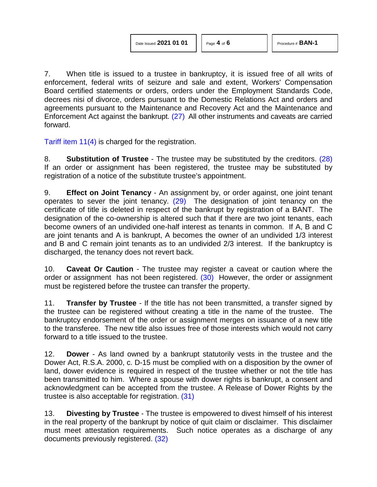7. When title is issued to a trustee in bankruptcy, it is issued free of all writs of enforcement, federal writs of seizure and sale and extent, Workers' Compensation Board certified statements or orders, orders under the Employment Standards Code, decrees nisi of divorce, orders pursuant to the Domestic Relations Act and orders and agreements pursuant to the Maintenance and Recovery Act and the Maintenance and Enforcement Act against the bankrupt. [\(27\)](#page-5-26) All other instruments and caveats are carried forward.

<span id="page-3-0"></span>[Tariff item 11\(4\)](http://www.servicealberta.ca/pdf/ltmanual/APPENDIXI.pdf) is charged for the registration.

<span id="page-3-1"></span>8. **Substitution of Trustee** - The trustee may be substituted by the creditors. [\(28\)](#page-5-27)  If an order or assignment has been registered, the trustee may be substituted by registration of a notice of the substitute trustee's appointment.

<span id="page-3-2"></span>9. **Effect on Joint Tenancy** - An assignment by, or order against, one joint tenant operates to sever the joint tenancy. [\(29\)](#page-5-28) The designation of joint tenancy on the certificate of title is deleted in respect of the bankrupt by registration of a BANT. The designation of the co-ownership is altered such that if there are two joint tenants, each become owners of an undivided one-half interest as tenants in common. If A, B and C are joint tenants and A is bankrupt, A becomes the owner of an undivided 1/3 interest and B and C remain joint tenants as to an undivided 2/3 interest. If the bankruptcy is discharged, the tenancy does not revert back.

<span id="page-3-3"></span>10. **Caveat Or Caution** - The trustee may register a caveat or caution where the order or assignment has not been registered. [\(30\)](#page-5-29) However, the order or assignment must be registered before the trustee can transfer the property.

11. **Transfer by Trustee** - If the title has not been transmitted, a transfer signed by the trustee can be registered without creating a title in the name of the trustee. The bankruptcy endorsement of the order or assignment merges on issuance of a new title to the transferee. The new title also issues free of those interests which would not carry forward to a title issued to the trustee.

12. **Dower** - As land owned by a bankrupt statutorily vests in the trustee and the Dower Act, R.S.A. 2000, c. D-15 must be complied with on a disposition by the owner of land, dower evidence is required in respect of the trustee whether or not the title has been transmitted to him. Where a spouse with dower rights is bankrupt, a consent and acknowledgment can be accepted from the trustee. A Release of Dower Rights by the trustee is also acceptable for registration. [\(31\)](#page-5-30)

<span id="page-3-5"></span><span id="page-3-4"></span>13. **Divesting by Trustee** - The trustee is empowered to divest himself of his interest in the real property of the bankrupt by notice of quit claim or disclaimer. This disclaimer must meet attestation requirements. Such notice operates as a discharge of any documents previously registered. [\(32\)](#page-6-0)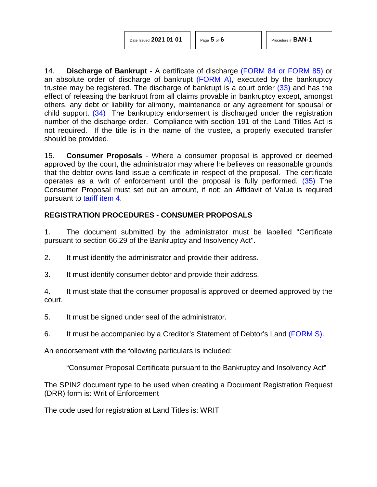<span id="page-4-1"></span><span id="page-4-0"></span>14. **Discharge of Bankrupt** - A certificate of discharge [\(FORM 84](http://www.servicealberta.ca/pdf/ltmanual/BAN-1-FORM84.pdf) [or FORM 85\)](http://www.servicealberta.ca/pdf/ltmanual/BAN-1-FORM85.pdf) or an absolute order of discharge of bankrupt  $(FORM A)$ , executed by the bankruptcy trustee may be registered. The discharge of bankrupt is a court order [\(33\)](#page-6-1) and has the effect of releasing the bankrupt from all claims provable in bankruptcy except, amongst others, any debt or liability for alimony, maintenance or any agreement for spousal or child support. [\(34\)](#page-6-2) The bankruptcy endorsement is discharged under the registration number of the discharge order. Compliance with section 191 of the Land Titles Act is not required. If the title is in the name of the trustee, a properly executed transfer should be provided.

<span id="page-4-2"></span>15. **Consumer Proposals** - Where a consumer proposal is approved or deemed approved by the court, the administrator may where he believes on reasonable grounds that the debtor owns land issue a certificate in respect of the proposal. The certificate operates as a writ of enforcement until the proposal is fully performed. [\(35\)](#page-6-3) The Consumer Proposal must set out an amount, if not; an Affidavit of Value is required pursuant to [tariff item 4.](http://www.servicealberta.ca/pdf/ltmanual/APPENDIXI.pdf)

## **REGISTRATION PROCEDURES - CONSUMER PROPOSALS**

1. The document submitted by the administrator must be labelled "Certificate pursuant to section 66.29 of the Bankruptcy and Insolvency Act".

2. It must identify the administrator and provide their address.

3. It must identify consumer debtor and provide their address.

4. It must state that the consumer proposal is approved or deemed approved by the court.

5. It must be signed under seal of the administrator.

6. It must be accompanied by a Creditor's Statement of Debtor's Land [\(FORM S\).](http://www.servicealberta.ca/pdf/ltmanual/FORMS.pdf)

An endorsement with the following particulars is included:

"Consumer Proposal Certificate pursuant to the Bankruptcy and Insolvency Act"

The SPIN2 document type to be used when creating a Document Registration Request (DRR) form is: Writ of Enforcement

The code used for registration at Land Titles is: WRIT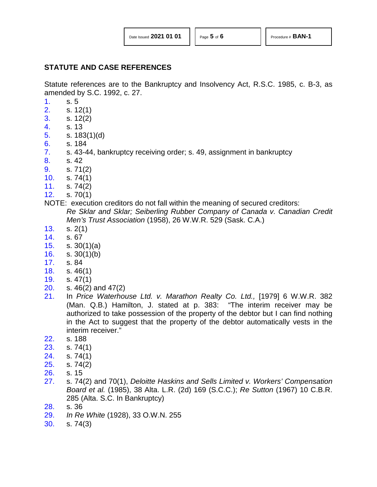## **STATUTE AND CASE REFERENCES**

Statute references are to the Bankruptcy and Insolvency Act, R.S.C. 1985, c. B-3, as amended by S.C. 1992, c. 27.

- <span id="page-5-0"></span>[1.](#page-0-0) s. 5
- <span id="page-5-1"></span>[2.](#page-0-1) s. 12(1)
- <span id="page-5-2"></span>[3.](#page-0-2) s. 12(2)
- <span id="page-5-3"></span>[4.](#page-0-3) s. 13
- <span id="page-5-4"></span>[5.](#page-0-4) s. 183(1)(d)
- <span id="page-5-5"></span>[6.](#page-0-5) s. 184
- <span id="page-5-6"></span>[7.](#page-0-6) s. 43-44, bankruptcy receiving order; s. 49, assignment in bankruptcy
- <span id="page-5-7"></span>[8.](#page-0-7) s. 42
- <span id="page-5-9"></span><span id="page-5-8"></span>[9.](#page-0-8) s. 71(2)
- <span id="page-5-10"></span>[10.](#page-0-9) s. 74(1)
- <span id="page-5-11"></span>[11.](#page-0-10) s. 74(2)
- [12.](#page-0-11) s. 70(1)
- NOTE: execution creditors do not fall within the meaning of secured creditors: *Re Sklar and Sklar; Seiberling Rubber Company of Canada v. Canadian Credit Men's Trust Association* (1958), 26 W.W.R. 529 (Sask. C.A.)
- <span id="page-5-12"></span>[13.](#page-1-0) s. 2(1)
- <span id="page-5-13"></span>[14.](#page-1-1) s. 67
- <span id="page-5-14"></span>[15.](#page-1-2) s. 30(1)(a)
- <span id="page-5-15"></span>[16.](#page-1-3) s. 30(1)(b)
- <span id="page-5-16"></span>[17.](#page-1-4) s. 84
- <span id="page-5-17"></span>[18.](#page-1-5) s. 46(1)
- <span id="page-5-18"></span>[19.](#page-1-6) s. 47(1)
- <span id="page-5-19"></span>[20.](#page-1-7) s. 46(2) and 47(2)
- <span id="page-5-20"></span>[21.](#page-1-8) In *Price Waterhouse Ltd. v. Marathon Realty Co. Ltd.,* [1979] 6 W.W.R. 382 (Man. Q.B.) Hamilton, J. stated at p. 383: "The interim receiver may be authorized to take possession of the property of the debtor but I can find nothing in the Act to suggest that the property of the debtor automatically vests in the interim receiver."
- <span id="page-5-21"></span>[22.](#page-1-9) s. 188
- <span id="page-5-22"></span>[23.](#page-2-0) s. 74(1)
- <span id="page-5-23"></span>[24.](#page-2-1) s. 74(1)
- <span id="page-5-24"></span>[25.](#page-2-2) s. 74(2)
- <span id="page-5-25"></span>[26.](#page-2-3) s. 15
- <span id="page-5-26"></span>[27.](#page-3-0) s. 74(2) and 70(1), *Deloitte Haskins and Sells Limited v. Workers' Compensation Board et al.* (1985), 38 Alta. L.R. (2d) 169 (S.C.C.); *Re Sutton* (1967) 10 C.B.R. 285 (Alta. S.C. In Bankruptcy)
- <span id="page-5-27"></span>[28.](#page-3-1) s. 36
- <span id="page-5-28"></span>[29.](#page-3-2) *In Re White* (1928), 33 O.W.N. 255
- <span id="page-5-30"></span><span id="page-5-29"></span>[30.](#page-3-3) s. 74(3)